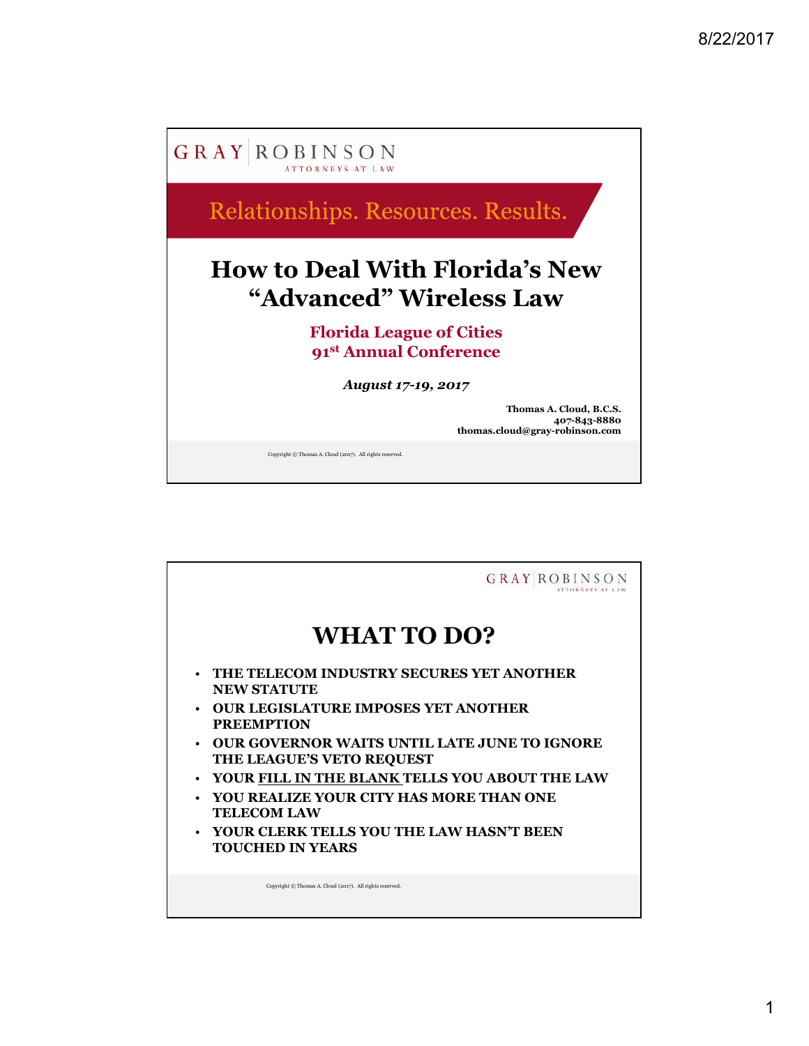

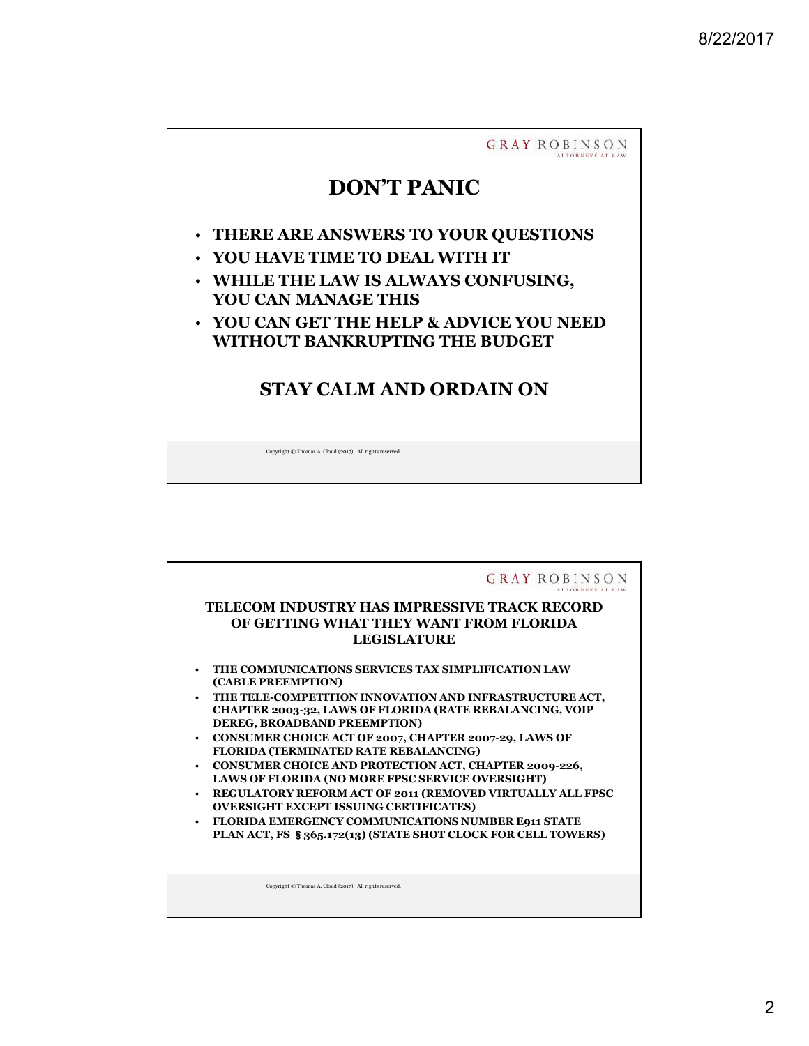

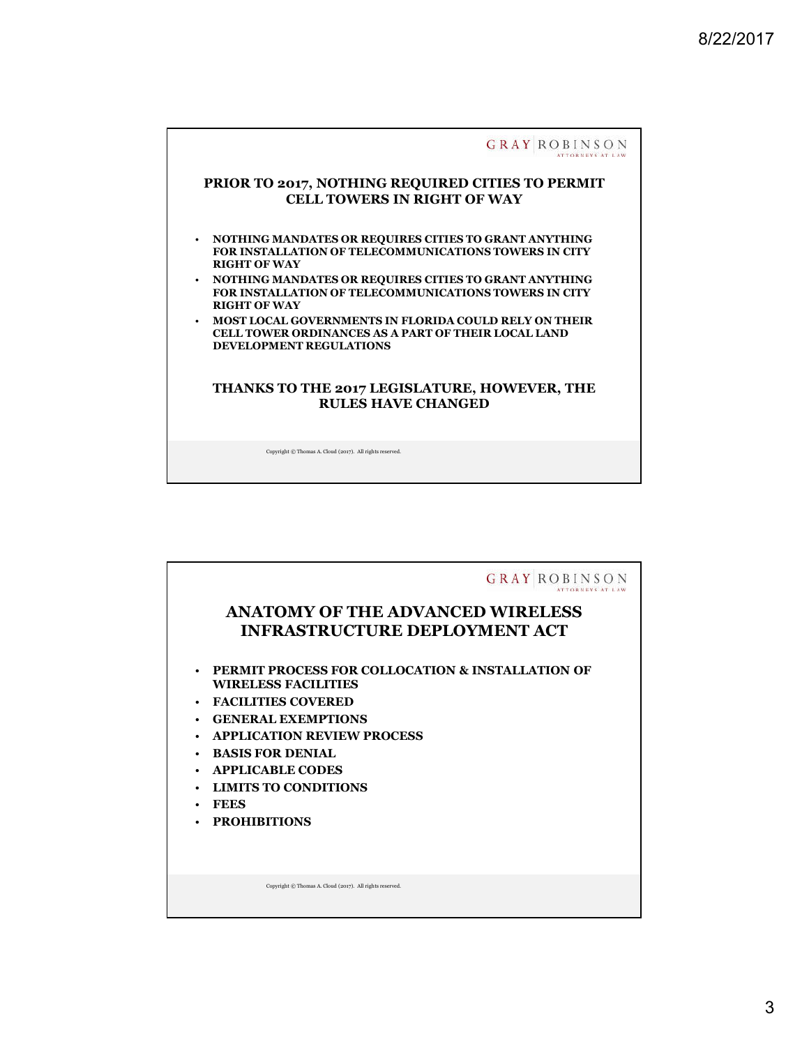

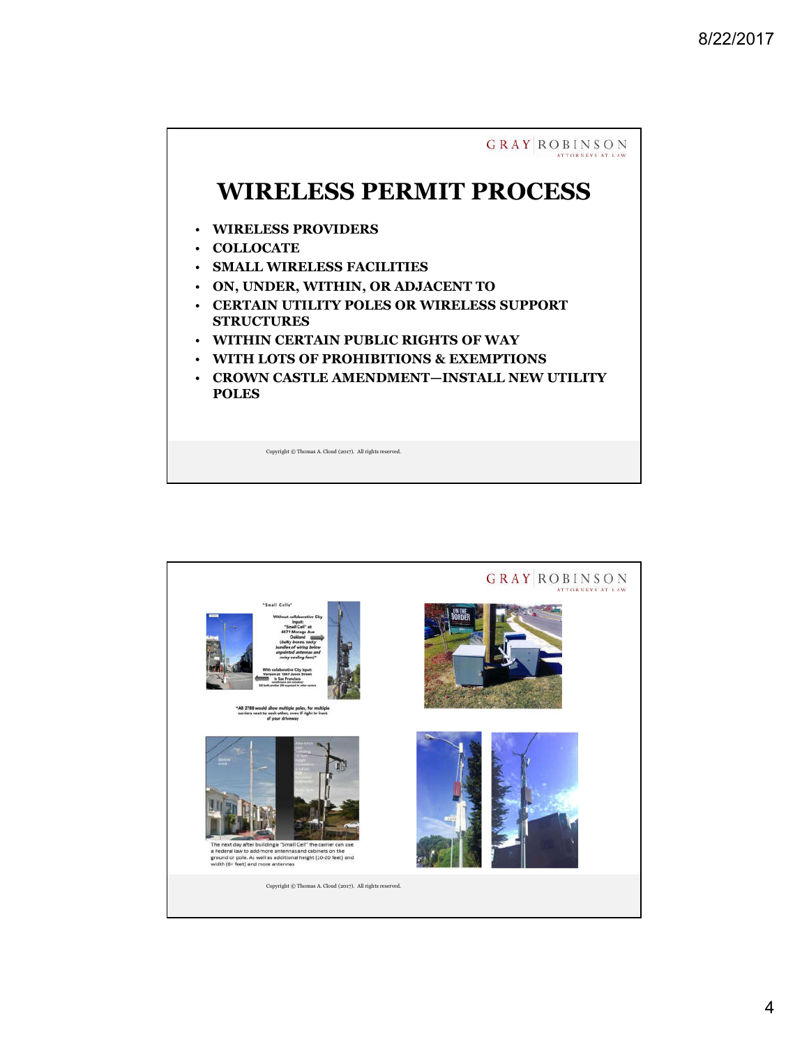

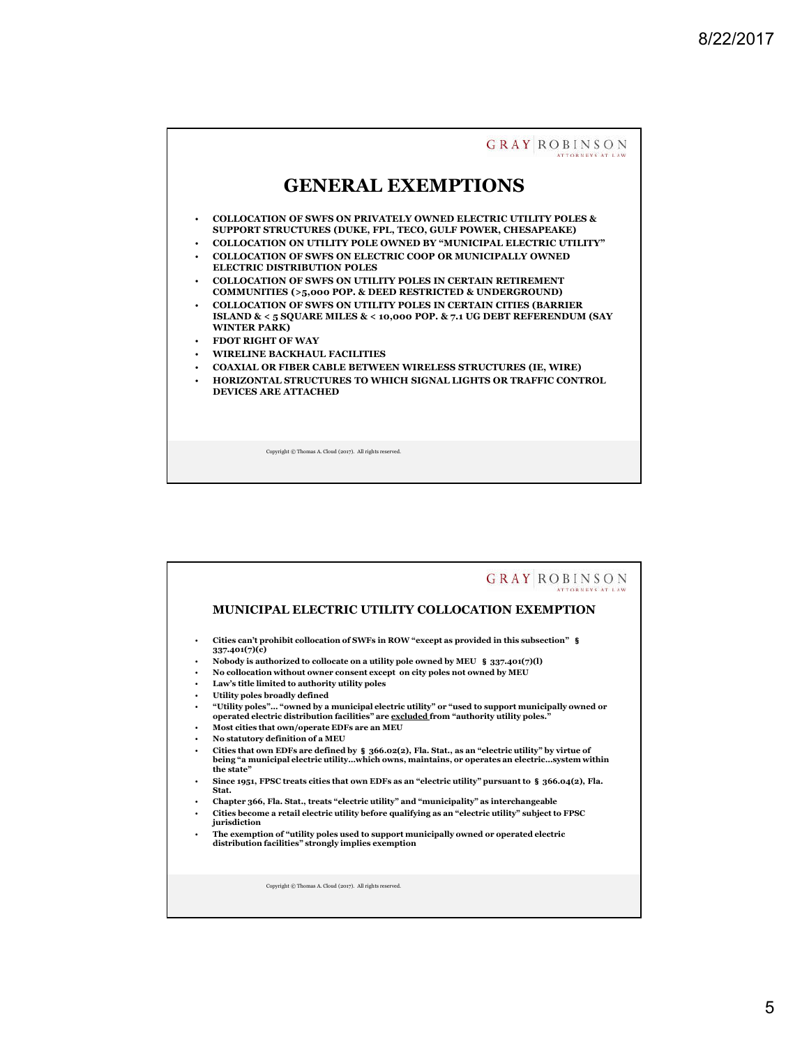

|             | <b>GRAY ROBINSO</b>                                                                                                                                                                                                                                                          |
|-------------|------------------------------------------------------------------------------------------------------------------------------------------------------------------------------------------------------------------------------------------------------------------------------|
|             | <b>MUNICIPAL ELECTRIC UTILITY COLLOCATION EXEMPTION</b>                                                                                                                                                                                                                      |
| ٠           | Cities can't prohibit collocation of SWFs in ROW "except as provided in this subsection" §<br>337.401(7)(c)                                                                                                                                                                  |
| ٠<br>٠<br>٠ | Nobody is authorized to collocate on a utility pole owned by MEU § 337.401(7)(1)<br>No collocation without owner consent except on city poles not owned by MEU<br>Law's title limited to authority utility poles                                                             |
| ٠<br>٠<br>٠ | Utility poles broadly defined<br>"Utility poles" "owned by a municipal electric utility" or "used to support municipally owned or<br>operated electric distribution facilities" are excluded from "authority utility poles."<br>Most cities that own/operate EDFs are an MEU |
| ٠<br>٠      | No statutory definition of a MEU<br>Cities that own EDFs are defined by § 366.02(2), Fla. Stat., as an "electric utility" by virtue of                                                                                                                                       |
| ٠           | being "a municipal electric utilitywhich owns, maintains, or operates an electricsystem within<br>the state"<br>Since 1951, FPSC treats cities that own EDFs as an "electric utility" pursuant to $\frac{1}{2}$ 366.04(2), Fla.                                              |
| ٠           | Stat.<br>Chapter 366, Fla. Stat., treats "electric utility" and "municipality" as interchangeable<br>Cities become a retail electric utility before qualifying as an "electric utility" subject to FPSC<br>jurisdiction                                                      |
| ٠           | The exemption of "utility poles used to support municipally owned or operated electric<br>distribution facilities" strongly implies exemption                                                                                                                                |
|             | Copyright © Thomas A. Cloud (2017). All rights reserved.                                                                                                                                                                                                                     |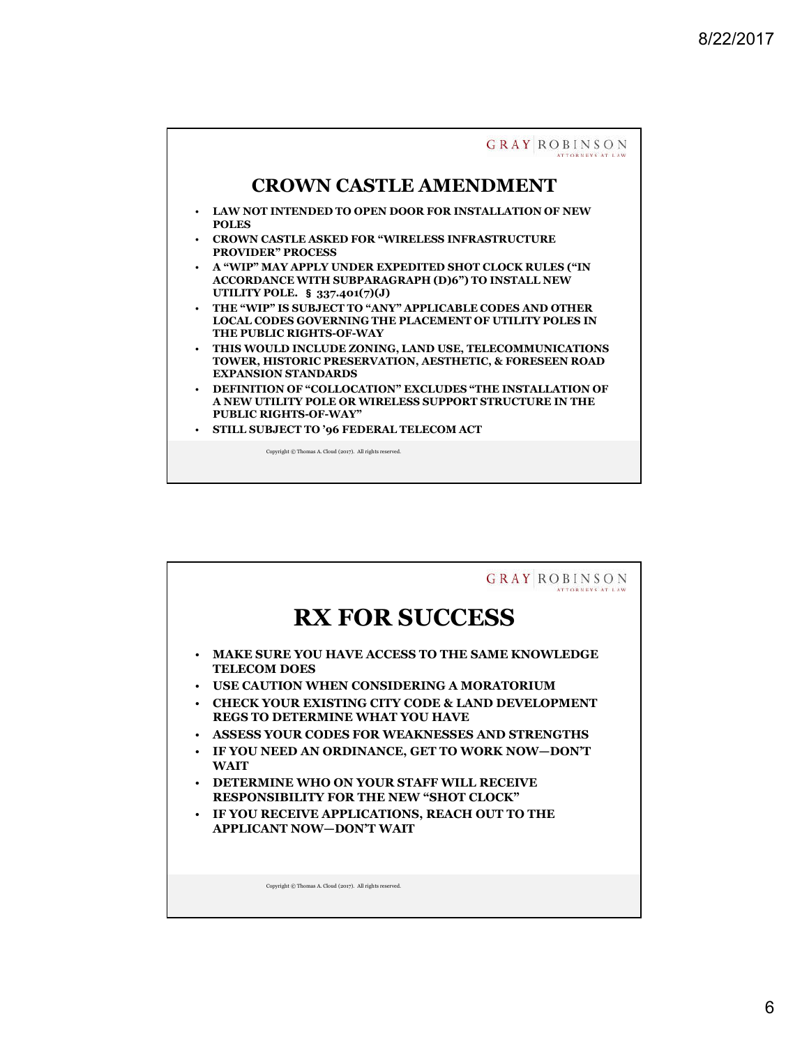

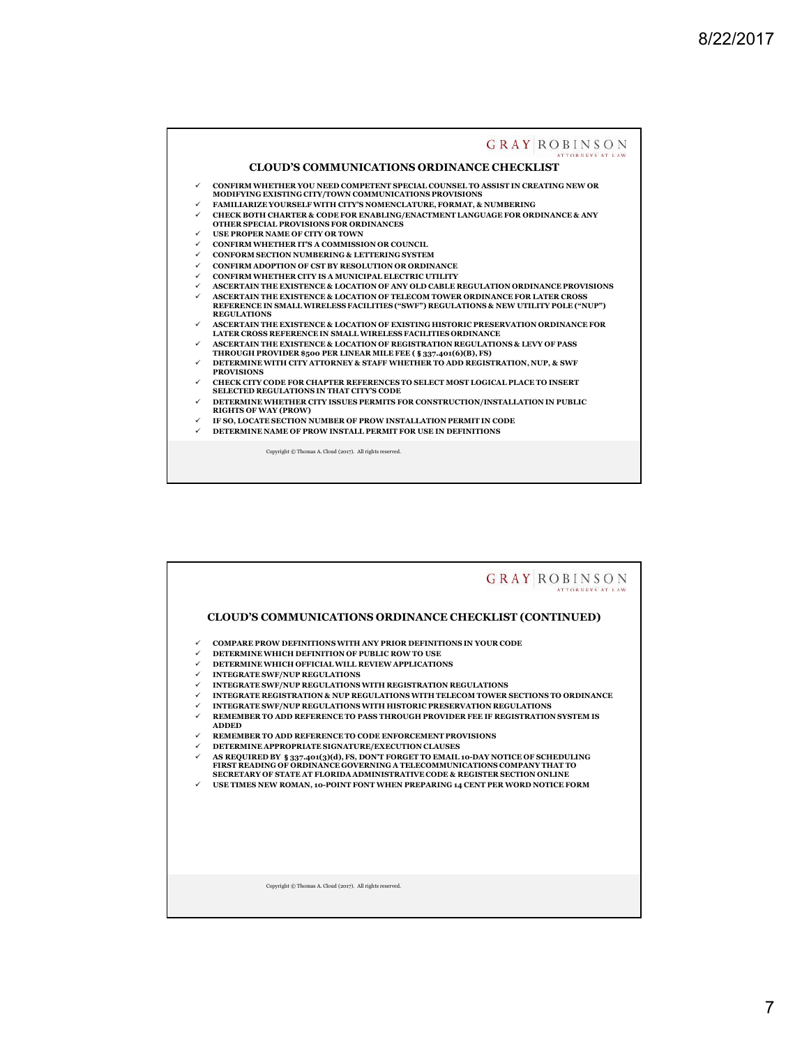

|                                                                                | <b>GRAY ROBINSON</b>                                                                                                                                                                                                                                                                                                                                                                                                                                                                                                                                                                                                                                                                                                                                                                                                                                                                                                                                                                                            |
|--------------------------------------------------------------------------------|-----------------------------------------------------------------------------------------------------------------------------------------------------------------------------------------------------------------------------------------------------------------------------------------------------------------------------------------------------------------------------------------------------------------------------------------------------------------------------------------------------------------------------------------------------------------------------------------------------------------------------------------------------------------------------------------------------------------------------------------------------------------------------------------------------------------------------------------------------------------------------------------------------------------------------------------------------------------------------------------------------------------|
|                                                                                | <b>CLOUD'S COMMUNICATIONS ORDINANCE CHECKLIST (CONTINUED)</b>                                                                                                                                                                                                                                                                                                                                                                                                                                                                                                                                                                                                                                                                                                                                                                                                                                                                                                                                                   |
| $\checkmark$<br>✓<br>✓<br>✓<br>✓<br>✓<br>✓<br>✓<br>$\checkmark$<br>✓<br>✓<br>✓ | <b>COMPARE PROW DEFINITIONS WITH ANY PRIOR DEFINITIONS IN YOUR CODE</b><br>DETERMINE WHICH DEFINITION OF PUBLIC ROW TO USE<br>DETERMINE WHICH OFFICIAL WILL REVIEW APPLICATIONS<br><b>INTEGRATE SWF/NUP REGULATIONS</b><br>INTEGRATE SWF/NUP REGULATIONS WITH REGISTRATION REGULATIONS<br>INTEGRATE REGISTRATION & NUP REGULATIONS WITH TELECOM TOWER SECTIONS TO ORDINANCE<br>INTEGRATE SWF/NUP REGULATIONS WITH HISTORIC PRESERVATION REGULATIONS<br>REMEMBER TO ADD REFERENCE TO PASS THROUGH PROVIDER FEE IF REGISTRATION SYSTEM IS<br><b>ADDED</b><br>REMEMBER TO ADD REFERENCE TO CODE ENFORCEMENT PROVISIONS<br>DETERMINE APPROPRIATE SIGNATURE/EXECUTION CLAUSES<br>AS REQUIRED BY § 337.401(3)(d), FS, DON'T FORGET TO EMAIL 10-DAY NOTICE OF SCHEDULING<br>FIRST READING OF ORDINANCE GOVERNING A TELECOMMUNICATIONS COMPANY THAT TO<br>SECRETARY OF STATE AT FLORIDA ADMINISTRATIVE CODE & REGISTER SECTION ONLINE<br>USE TIMES NEW ROMAN, 10-POINT FONT WHEN PREPARING 14 CENT PER WORD NOTICE FORM |
|                                                                                | Copyright © Thomas A. Cloud (2017). All rights reserved.                                                                                                                                                                                                                                                                                                                                                                                                                                                                                                                                                                                                                                                                                                                                                                                                                                                                                                                                                        |